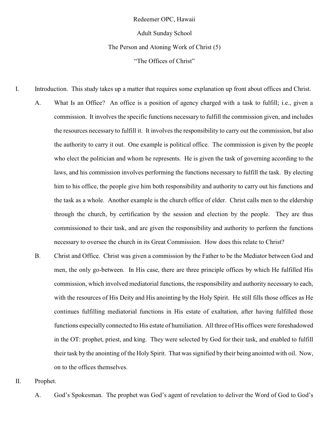Redeemer OPC, Hawaii

Adult Sunday School

The Person and Atoning Work of Christ (5)

"The Offices of Christ"

I. Introduction. This study takes up a matter that requires some explanation up front about offices and Christ.

- A. What Is an Office? An office is a position of agency charged with a task to fulfill; i.e., given a commission. It involves the specific functions necessary to fulfill the commission given, and includes the resources necessary to fulfill it. It involves the responsibility to carry out the commission, but also the authority to carry it out. One example is political office. The commission is given by the people who elect the politician and whom he represents. He is given the task of governing according to the laws, and his commission involves performing the functions necessary to fulfill the task. By electing him to his office, the people give him both responsibility and authority to carry out his functions and the task as a whole. Another example is the church office of elder. Christ calls men to the eldership through the church, by certification by the session and election by the people. They are thus commissioned to their task, and are given the responsibility and authority to perform the functions necessary to oversee the church in its Great Commission. How does this relate to Christ?
- B. Christ and Office. Christ was given a commission by the Father to be the Mediator between God and men, the only go-between. In His case, there are three principle offices by which He fulfilled His commission, which involved mediatorial functions, the responsibility and authority necessary to each, with the resources of His Deity and His anointing by the Holy Spirit. He still fills those offices as He continues fulfilling mediatorial functions in His estate of exaltation, after having fulfilled those functions especially connected to His estate of humiliation. All three of His offices were foreshadowed in the OT: prophet, priest, and king. They were selected by God for their task, and enabled to fulfill their task by the anointing of the Holy Spirit. That was signified by their being anointed with oil. Now, on to the offices themselves.
- II. Prophet.
	- A. God's Spokesman. The prophet was God's agent of revelation to deliver the Word of God to God's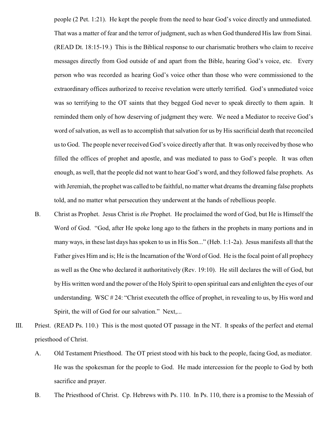people (2 Pet. 1:21). He kept the people from the need to hear God's voice directly and unmediated. That was a matter of fear and the terror of judgment, such as when God thundered His law from Sinai. (READ Dt. 18:15-19.) This is the Biblical response to our charismatic brothers who claim to receive messages directly from God outside of and apart from the Bible, hearing God's voice, etc. Every person who was recorded as hearing God's voice other than those who were commissioned to the extraordinary offices authorized to receive revelation were utterly terrified. God's unmediated voice was so terrifying to the OT saints that they begged God never to speak directly to them again. It reminded them only of how deserving of judgment they were. We need a Mediator to receive God's word of salvation, as well as to accomplish that salvation for us by His sacrificial death that reconciled us to God. The people neverreceived God's voice directly after that. It was only received by those who filled the offices of prophet and apostle, and was mediated to pass to God's people. It was often enough, as well, that the people did not want to hear God's word, and they followed false prophets. As with Jeremiah, the prophet was called to be faithful, no matter what dreams the dreaming false prophets told, and no matter what persecution they underwent at the hands of rebellious people.

- B. Christ as Prophet. Jesus Christ is *the* Prophet. He proclaimed the word of God, but He is Himself the Word of God. "God, after He spoke long ago to the fathers in the prophets in many portions and in many ways, in these last days has spoken to us in His Son..." (Heb. 1:1-2a). Jesus manifests all that the Father gives Him and is; He is the Incarnation of the Word of God. He is the focal point of all prophecy as well as the One who declared it authoritatively (Rev. 19:10). He still declares the will of God, but by His written word and the power of the Holy Spirit to open spiritual ears and enlighten the eyes of our understanding. WSC # 24: "Christ executeth the office of prophet, in revealing to us, by His word and Spirit, the will of God for our salvation." Next,...
- III. Priest. (READ Ps. 110.) This is the most quoted OT passage in the NT. It speaks of the perfect and eternal priesthood of Christ.
	- A. Old Testament Priesthood. The OT priest stood with his back to the people, facing God, as mediator. He was the spokesman for the people to God. He made intercession for the people to God by both sacrifice and prayer.
	- B. The Priesthood of Christ. Cp. Hebrews with Ps. 110. In Ps. 110, there is a promise to the Messiah of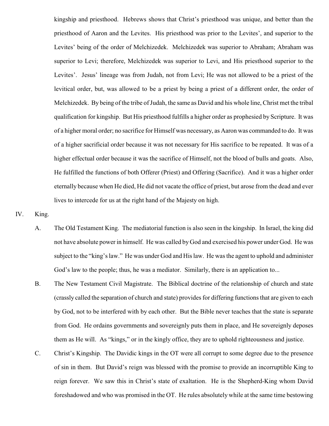kingship and priesthood. Hebrews shows that Christ's priesthood was unique, and better than the priesthood of Aaron and the Levites. His priesthood was prior to the Levites', and superior to the Levites' being of the order of Melchizedek. Melchizedek was superior to Abraham; Abraham was superior to Levi; therefore, Melchizedek was superior to Levi, and His priesthood superior to the Levites'. Jesus' lineage was from Judah, not from Levi; He was not allowed to be a priest of the levitical order, but, was allowed to be a priest by being a priest of a different order, the order of Melchizedek. By being of the tribe of Judah, the same as David and his whole line, Christ met the tribal qualification for kingship. But His priesthood fulfills a higher order as prophesied by Scripture. It was of a higher moral order; no sacrifice for Himself was necessary, as Aaron was commanded to do. It was of a higher sacrificial order because it was not necessary for His sacrifice to be repeated. It was of a higher effectual order because it was the sacrifice of Himself, not the blood of bulls and goats. Also, He fulfilled the functions of both Offerer (Priest) and Offering (Sacrifice). And it was a higher order eternally because when He died, He did not vacate the office of priest, but arose from the dead and ever lives to intercede for us at the right hand of the Majesty on high.

## IV. King.

- A. The Old Testament King. The mediatorial function is also seen in the kingship. In Israel, the king did not have absolute power in himself. He was called by God and exercised his power under God. He was subject to the "king's law." He was under God and His law. He was the agent to uphold and administer God's law to the people; thus, he was a mediator. Similarly, there is an application to...
- B. The New Testament Civil Magistrate. The Biblical doctrine of the relationship of church and state (crassly called the separation of church and state) provides for differing functions that are given to each by God, not to be interfered with by each other. But the Bible never teaches that the state is separate from God. He ordains governments and sovereignly puts them in place, and He sovereignly deposes them as He will. As "kings," or in the kingly office, they are to uphold righteousness and justice.
- C. Christ's Kingship. The Davidic kings in the OT were all corrupt to some degree due to the presence of sin in them. But David's reign was blessed with the promise to provide an incorruptible King to reign forever. We saw this in Christ's state of exaltation. He is the Shepherd-King whom David foreshadowed and who was promised in the OT. He rules absolutely while at the same time bestowing